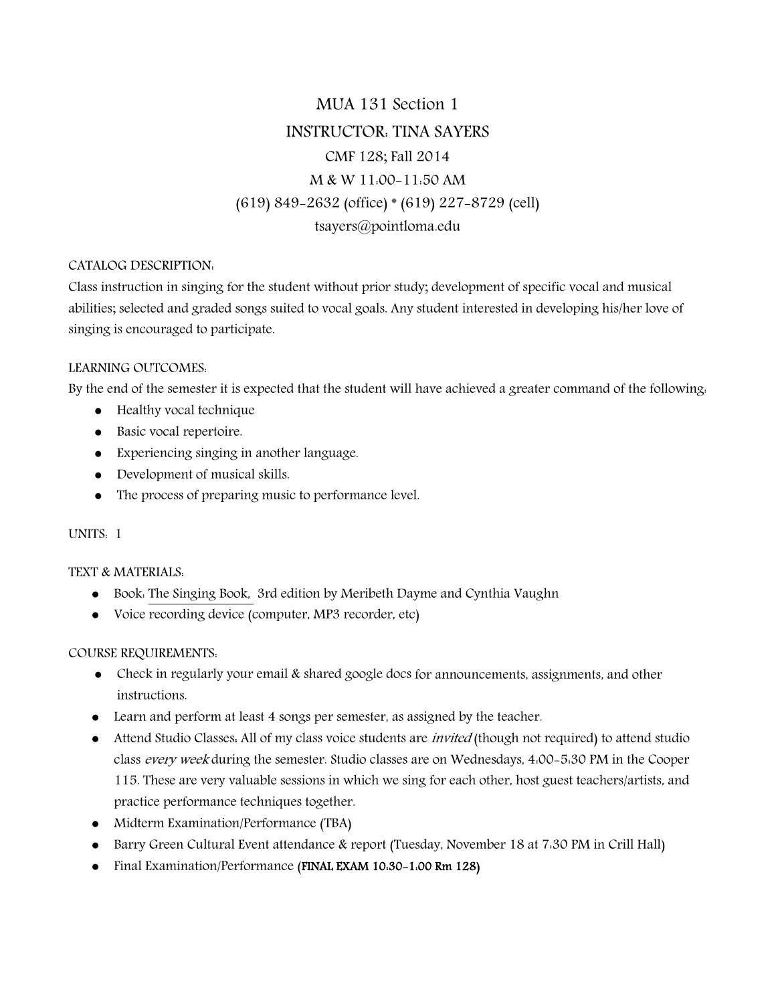# MUA 131 Section 1 INSTRUCTOR: TINA SAYERS CMF 128; Fall 2014 M & W 11:00-11:50 AM (619) 849-2632 (office) \* (619) 227-8729 (cell) tsayers@pointloma.edu

# CATALOG DESCRIPTION:

Class instruction in singing for the student without prior study; development of specific vocal and musical abilities; selected and graded songs suited to vocal goals. Any student interested in developing his/her love of singing is encouraged to participate.

# LEARNING OUTCOMES:

By the end of the semester it is expected that the student will have achieved a greater command of the following:

- Healthy vocal technique
- Basic vocal repertoire.
- Experiencing singing in another language.
- Development of musical skills.
- The process of preparing music to performance level.

# UNITS: 1

# TEXT & MATERIALS:

- Book: The Singing Book, 3rd edition by Meribeth Dayme and Cynthia Vaughn
- Voice recording device (computer, MP3 recorder, etc)

# COURSE REQUIREMENTS:

- Check in regularly your email & shared google docs for announcements, assignments, and other instructions.
- Learn and perform at least 4 songs per semester, as assigned by the teacher.
- Attend Studio Classes. All of my class voice students are *invited* (though not required) to attend studio class every week during the semester. Studio classes are on Wednesdays, 4:00-5:30 PM in the Cooper 115. These are very valuable sessions in which we sing for each other, host guest teachers/artists, and practice performance techniques together.
- Midterm Examination/Performance (TBA)
- Barry Green Cultural Event attendance & report (Tuesday, November 18 at 7:30 PM in Crill Hall)
- Final Examination/Performance (FINAL EXAM 10:30-1:00 Rm 128)